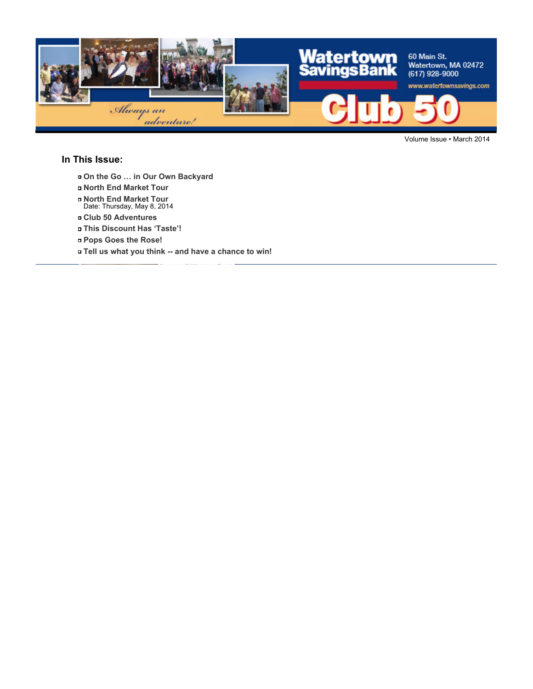

Volume Issue • March 2014

#### **In This Issue:**

- **On the Go … in Our Own Backyard**
- **North End Market Tour**
- **North End Market Tour** Date: Thursday, May 8, 2014
- **Club 50 Adventures**
- **This Discount Has 'Taste'!**
- **Pops Goes the Rose!**
- **Tell us what you think -- and have a chance to win!**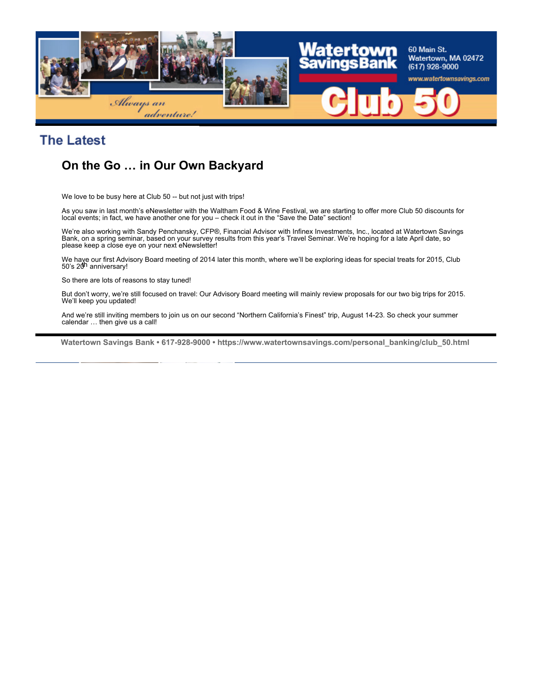

### **The Latest**

### **On the Go … in Our Own Backyard**

We love to be busy here at Club 50 -- but not just with trips!

As you saw in last month's eNewsletter with the Waltham Food & Wine Festival, we are starting to offer more Club 50 discounts for local events; in fact, we have another one for you – check it out in the "Save the Date" section!

We're also working with Sandy Penchansky, CFP®, Financial Advisor with Infinex Investments, Inc., located at Watertown Savings Bank, on a spring seminar, based on your survey results from this year's Travel Seminar. We're hoping for a late April date, so please keep a close eye on your next eNewsletter!

We have our first Advisory Board meeting of 2014 later this month, where we'll be exploring ideas for special treats for 2015, Club<br>50's 20<sup>h</sup> anniversary!

So there are lots of reasons to stay tuned!

But don't worry, we're still focused on travel: Our Advisory Board meeting will mainly review proposals for our two big trips for 2015. We'll keep you updated!

And we're still inviting members to join us on our second "Northern California's Finest" trip, August 14-23. So check your summer calendar ... then give us a call!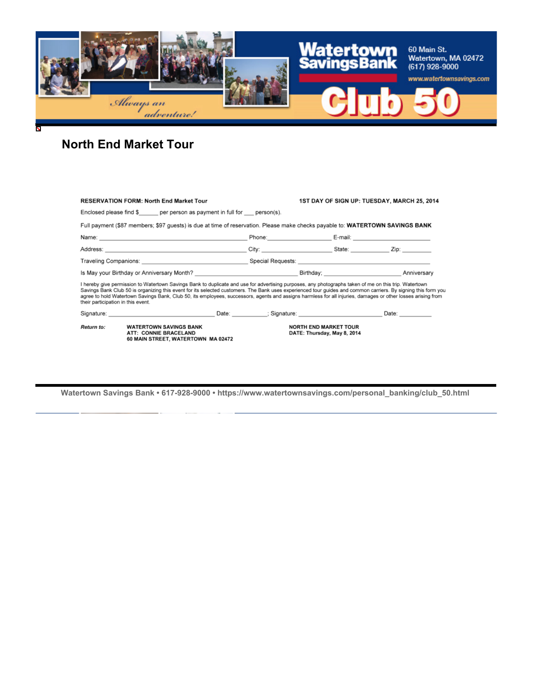

# **North End Market Tour**

Ñ

| <b>RESERVATION FORM: North End Market Tour</b>                                                                                                                                                                                                                                                                                                                                                                                                                                                                               |                                                                                                                                                                                                                                |                                                                                                                                                                                                                                |  | 1ST DAY OF SIGN UP: TUESDAY, MARCH 25, 2014 |
|------------------------------------------------------------------------------------------------------------------------------------------------------------------------------------------------------------------------------------------------------------------------------------------------------------------------------------------------------------------------------------------------------------------------------------------------------------------------------------------------------------------------------|--------------------------------------------------------------------------------------------------------------------------------------------------------------------------------------------------------------------------------|--------------------------------------------------------------------------------------------------------------------------------------------------------------------------------------------------------------------------------|--|---------------------------------------------|
| Enclosed please find $\frac{1}{2}$ per person as payment in full for person(s).                                                                                                                                                                                                                                                                                                                                                                                                                                              |                                                                                                                                                                                                                                |                                                                                                                                                                                                                                |  |                                             |
| Full payment (\$87 members; \$97 guests) is due at time of reservation. Please make checks payable to: WATERTOWN SAVINGS BANK                                                                                                                                                                                                                                                                                                                                                                                                |                                                                                                                                                                                                                                |                                                                                                                                                                                                                                |  |                                             |
|                                                                                                                                                                                                                                                                                                                                                                                                                                                                                                                              |                                                                                                                                                                                                                                | Phone: E-mail: E-mail: E-mail: E-mail: E-mail: E-mail: E-mail: E-mail: E-mail: E-mail: E-mail: E-mail: E-mail: E-mail: E-mail: E-mail: E-mail: E-mail: E-mail: E-mail: E-mail: E-mail: E-mail: E-mail: E-mail: E-mail: E-mail: |  |                                             |
|                                                                                                                                                                                                                                                                                                                                                                                                                                                                                                                              |                                                                                                                                                                                                                                | City: City: City: City: City:                                                                                                                                                                                                  |  |                                             |
|                                                                                                                                                                                                                                                                                                                                                                                                                                                                                                                              |                                                                                                                                                                                                                                |                                                                                                                                                                                                                                |  |                                             |
| Is May your Birthday or Anniversary Month? Note to the Control of Control of Birthday; Note of Anniversary Month                                                                                                                                                                                                                                                                                                                                                                                                             |                                                                                                                                                                                                                                |                                                                                                                                                                                                                                |  |                                             |
| I hereby give permission to Watertown Savings Bank to duplicate and use for advertising purposes, any photographs taken of me on this trip. Watertown<br>Savings Bank Club 50 is organizing this event for its selected customers. The Bank uses experienced tour guides and common carriers. By signing this form you<br>agree to hold Watertown Savings Bank, Club 50, its employees, successors, agents and assigns harmless for all injuries, damages or other losses arising from<br>their participation in this event. |                                                                                                                                                                                                                                |                                                                                                                                                                                                                                |  |                                             |
|                                                                                                                                                                                                                                                                                                                                                                                                                                                                                                                              | Signature: Contract Contract Contract Contract Contract Contract Contract Contract Contract Contract Contract Contract Contract Contract Contract Contract Contract Contract Contract Contract Contract Contract Contract Cont |                                                                                                                                                                                                                                |  | Date:                                       |
| Return to:                                                                                                                                                                                                                                                                                                                                                                                                                                                                                                                   | <b>WATERTOWN SAVINGS BANK</b><br>ATT: CONNIE BRACELAND<br>60 MAIN STREET, WATERTOWN MA 02472                                                                                                                                   | <b>NORTH END MARKET TOUR</b><br>DATE: Thursday, May 8, 2014                                                                                                                                                                    |  |                                             |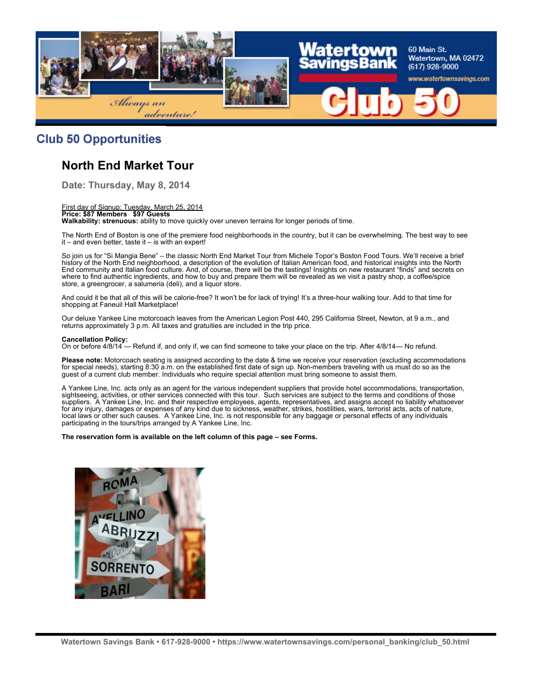

### **Club 50 Opportunities**

### **North End Market Tour**

**Date: Thursday, May 8, 2014**

First day of Signup: Tuesday, March 25, 2014 **Price: \$87 Members \$97 Guests Walkability: strenuous:** ability to move quickly over uneven terrains for longer periods of time.

The North End of Boston is one of the premiere food neighborhoods in the country, but it can be overwhelming. The best way to see  $it$  – and even better, taste it – is with an expert!

So join us for "Si Mangia Bene" – the classic North End Market Tour from Michele Topor's Boston Food Tours. We'll receive a brief history of the North End neighborhood, a description of the evolution of Italian American food, and historical insights into the North End community and Italian food culture. And, of course, there will be the tastings! Insights on new restaurant "finds" and secrets on where to find authentic ingredients, and how to buy and prepare them will be revealed as we visit a pastry shop, a coffee/spice store, a greengrocer, a salumeria (deli), and a liquor store.

And could it be that all of this will be calorie-free? It won't be for lack of trying! It's a three-hour walking tour. Add to that time for shopping at Faneuil Hall Marketplace!

Our deluxe Yankee Line motorcoach leaves from the American Legion Post 440, 295 California Street, Newton, at 9 a.m., and returns approximately 3 p.m. All taxes and gratuities are included in the trip price.

#### **Cancellation Policy:**

On or before 4/8/14 — Refund if, and only if, we can find someone to take your place on the trip. After 4/8/14— No refund.

**Please note:** Motorcoach seating is assigned according to the date & time we receive your reservation (excluding accommodations for special needs), starting 8:30 a.m. on the established first date of sign up. Non-members traveling with us must do so as the guest of a current club member. Individuals who require special attention must bring someone to assist them.

A Yankee Line, Inc. acts only as an agent for the various independent suppliers that provide hotel accommodations, transportation, sightseeing, activities, or other services connected with this tour. Such services are subject to the terms and conditions of those suppliers. A Yankee Line, Inc. and their respective employees, agents, representatives, and assigns accept no liability whatsoever for any injury, damages or expenses of any kind due to sickness, weather, strikes, hostilities, wars, terrorist acts, acts of nature, local laws or other such causes. A Yankee Line, Inc. is not responsible for any baggage or personal effects of any individuals participating in the tours/trips arranged by A Yankee Line, Inc.

**The reservation form is available on the left column of this page – see Forms.**

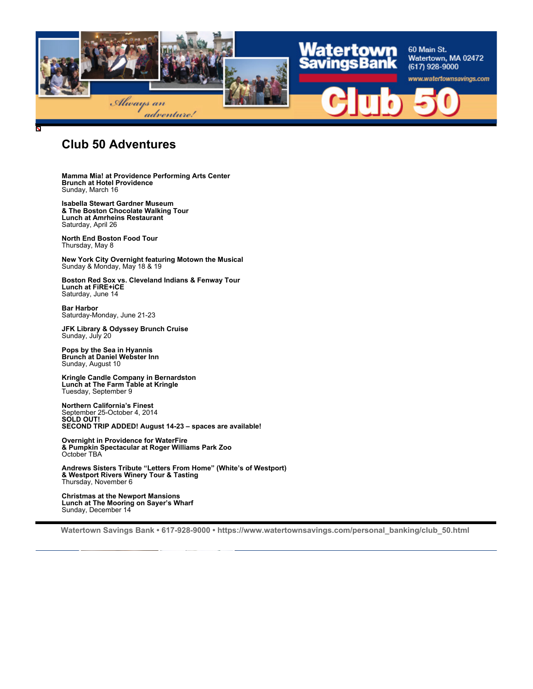

### **Club 50 Adventures**

**Mamma Mia! at Providence Performing Arts Center Brunch at Hotel Providence** Sunday, March 16

**Isabella Stewart Gardner Museum & The Boston Chocolate Walking Tour Lunch at Amrheins Restaurant** Saturday, April 26

**North End Boston Food Tour** Thursday, May 8

**New York City Overnight featuring Motown the Musical** Sunday & Monday, May 18 & 19

**Boston Red Sox vs. Cleveland Indians & Fenway Tour Lunch at FiRE+iCE** Saturday, June 14

**Bar Harbor** Saturday-Monday, June 21-23

**JFK Library & Odyssey Brunch Cruise** Sunday, July 20

**Pops by the Sea in Hyannis Brunch at Daniel Webster Inn** Sunday, August 10

**Kringle Candle Company in Bernardston Lunch at The Farm Table at Kringle** Tuesday, September 9

**Northern California's Finest** September 25-October 4, 2014 **SOLD OUT! SECOND TRIP ADDED! August 14-23 – spaces are available!**

**Overnight in Providence for WaterFire & Pumpkin Spectacular at Roger Williams Park Zoo** October TBA

**Andrews Sisters Tribute "Letters From Home" (White's of Westport) & Westport Rivers Winery Tour & Tasting** Thursday, November 6

**Christmas at the Newport Mansions Lunch at The Mooring on Sayer's Wharf** Sunday, December 14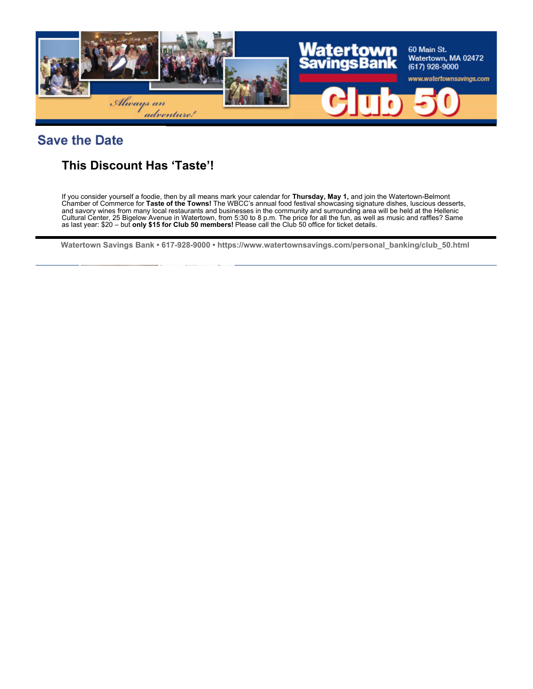

### **Save the Date**

### **This Discount Has 'Taste'!**

If you consider yourself a foodie, then by all means mark your calendar for **Thursday, May 1,** and join the Watertown-Belmont Chamber of Commerce for **Taste of the Towns!** The WBCC's annual food festival showcasing signature dishes, luscious desserts, and savory wines from many local restaurants and businesses in the community and surrounding area will be held at the Hellenic Cultural Center, 25 Bigelow Avenue in Watertown, from 5:30 to 8 p.m. The price for all the fun, as well as music and raffles? Same as last year: \$20 – but **only \$15 for Club 50 members!** Please call the Club 50 office for ticket details.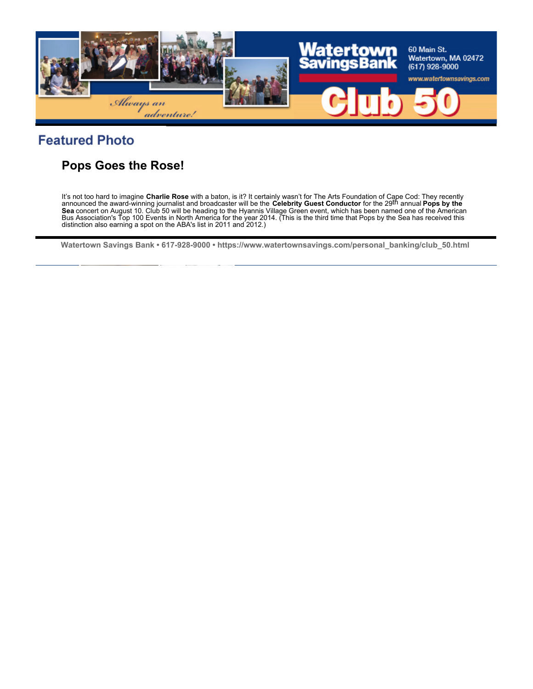

## **Featured Photo**

### **Pops Goes the Rose!**

It's not too hard to imagine **Charlie Rose** with a baton, is it? It certainly wasn't for The Arts Foundation of Cape Cod: They recently<br>announced the award-winning journalist and broadcaster will be the **Celebrity Guest Co Sea** concert on August 10. Club 50 will be heading to the Hyannis Village Green event, which has been named one of the American Bus Association's Top 100 Events in North America for the year 2014. (This is the third time that Pops by the Sea has received this distinction also earning a spot on the ABA's list in 2011 and 2012.)